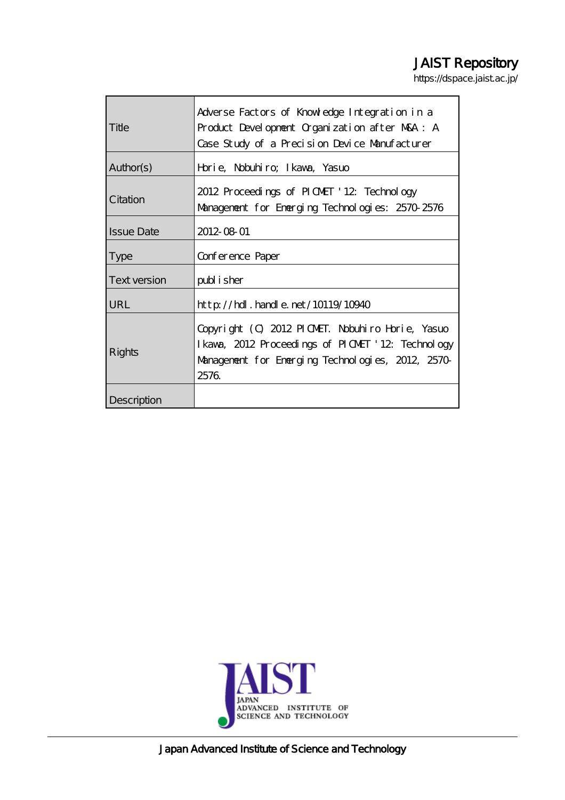# JAIST Repository

https://dspace.jaist.ac.jp/

| Title             | Adverse Factors of Knowledge Integration in a<br>Product Development Organization after MKA: A<br>Case Study of a Precision Device Manufacturer                   |  |
|-------------------|-------------------------------------------------------------------------------------------------------------------------------------------------------------------|--|
| Author(s)         | Horie, Nobuhiro; Ikawa, Yasuo                                                                                                                                     |  |
| Citation          | 2012 Proceedings of PICMET '12 Technology<br>Management for Energing Technologies: 2570-2576                                                                      |  |
| <b>Issue Date</b> | 2012-08-01                                                                                                                                                        |  |
| <b>Type</b>       | Conference Paper                                                                                                                                                  |  |
| Text version      | publisher                                                                                                                                                         |  |
| <b>URL</b>        | $\frac{\text{http}}{\text{10119}}$ . handle. net/10119/10940                                                                                                      |  |
| Rights            | Copyright (C) 2012 PICMET. Nobuhiro Horie, Yasuo<br>I kava, 2012 Proceedings of PICMET '12 Technology<br>Management for Emerging Technologies, 2012, 2570<br>2576 |  |
| Description       |                                                                                                                                                                   |  |



Japan Advanced Institute of Science and Technology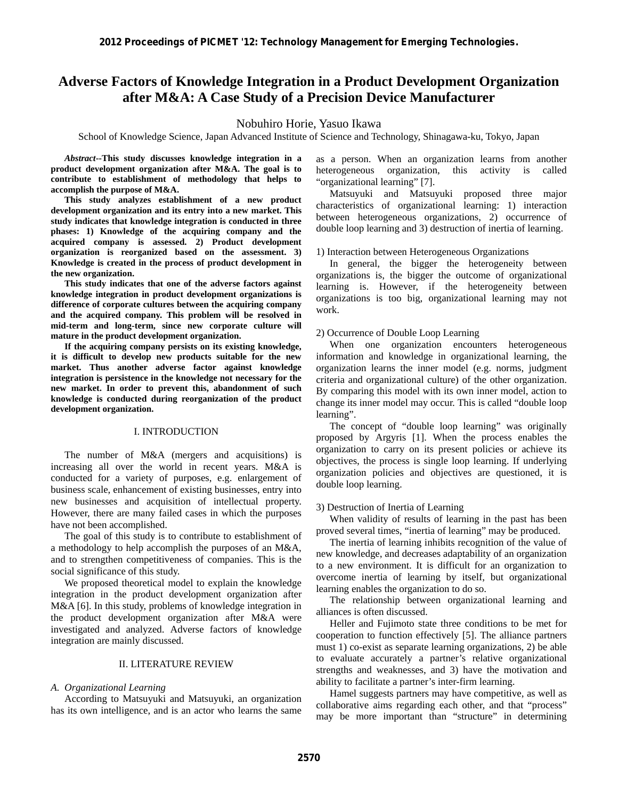## **Adverse Factors of Knowledge Integration in a Product Development Organization after M&A: A Case Study of a Precision Device Manufacturer**

### Nobuhiro Horie, Yasuo Ikawa

School of Knowledge Science, Japan Advanced Institute of Science and Technology, Shinagawa-ku, Tokyo, Japan

*Abstract***--This study discusses knowledge integration in a product development organization after M&A. The goal is to contribute to establishment of methodology that helps to accomplish the purpose of M&A.** 

**This study analyzes establishment of a new product development organization and its entry into a new market. This study indicates that knowledge integration is conducted in three phases: 1) Knowledge of the acquiring company and the acquired company is assessed. 2) Product development organization is reorganized based on the assessment. 3) Knowledge is created in the process of product development in the new organization.** 

**This study indicates that one of the adverse factors against knowledge integration in product development organizations is difference of corporate cultures between the acquiring company and the acquired company. This problem will be resolved in mid-term and long-term, since new corporate culture will mature in the product development organization.** 

**If the acquiring company persists on its existing knowledge, it is difficult to develop new products suitable for the new market. Thus another adverse factor against knowledge integration is persistence in the knowledge not necessary for the new market. In order to prevent this, abandonment of such knowledge is conducted during reorganization of the product development organization.** 

### I. INTRODUCTION

The number of M&A (mergers and acquisitions) is increasing all over the world in recent years. M&A is conducted for a variety of purposes, e.g. enlargement of business scale, enhancement of existing businesses, entry into new businesses and acquisition of intellectual property. However, there are many failed cases in which the purposes have not been accomplished.

The goal of this study is to contribute to establishment of a methodology to help accomplish the purposes of an M&A, and to strengthen competitiveness of companies. This is the social significance of this study.

We proposed theoretical model to explain the knowledge integration in the product development organization after M&A [6]. In this study, problems of knowledge integration in the product development organization after M&A were investigated and analyzed. Adverse factors of knowledge integration are mainly discussed.

### II. LITERATURE REVIEW

### *A. Organizational Learning*

According to Matsuyuki and Matsuyuki, an organization has its own intelligence, and is an actor who learns the same as a person. When an organization learns from another heterogeneous organization, this activity is called "organizational learning" [7].

Matsuyuki and Matsuyuki proposed three major characteristics of organizational learning: 1) interaction between heterogeneous organizations, 2) occurrence of double loop learning and 3) destruction of inertia of learning.

### 1) Interaction between Heterogeneous Organizations

In general, the bigger the heterogeneity between organizations is, the bigger the outcome of organizational learning is. However, if the heterogeneity between organizations is too big, organizational learning may not work.

### 2) Occurrence of Double Loop Learning

When one organization encounters heterogeneous information and knowledge in organizational learning, the organization learns the inner model (e.g. norms, judgment criteria and organizational culture) of the other organization. By comparing this model with its own inner model, action to change its inner model may occur. This is called "double loop learning".

The concept of "double loop learning" was originally proposed by Argyris [1]. When the process enables the organization to carry on its present policies or achieve its objectives, the process is single loop learning. If underlying organization policies and objectives are questioned, it is double loop learning.

### 3) Destruction of Inertia of Learning

When validity of results of learning in the past has been proved several times, "inertia of learning" may be produced.

The inertia of learning inhibits recognition of the value of new knowledge, and decreases adaptability of an organization to a new environment. It is difficult for an organization to overcome inertia of learning by itself, but organizational learning enables the organization to do so.

The relationship between organizational learning and alliances is often discussed.

Heller and Fujimoto state three conditions to be met for cooperation to function effectively [5]. The alliance partners must 1) co-exist as separate learning organizations, 2) be able to evaluate accurately a partner's relative organizational strengths and weaknesses, and 3) have the motivation and ability to facilitate a partner's inter-firm learning.

Hamel suggests partners may have competitive, as well as collaborative aims regarding each other, and that "process" may be more important than "structure" in determining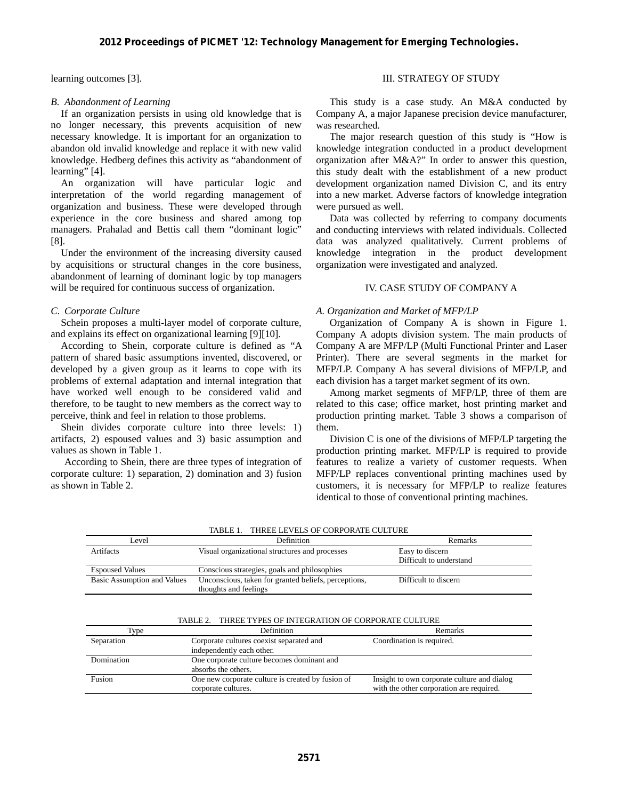learning outcomes [3].

### *B. Abandonment of Learning*

If an organization persists in using old knowledge that is no longer necessary, this prevents acquisition of new necessary knowledge. It is important for an organization to abandon old invalid knowledge and replace it with new valid knowledge. Hedberg defines this activity as "abandonment of learning" [4].

An organization will have particular logic and interpretation of the world regarding management of organization and business. These were developed through experience in the core business and shared among top managers. Prahalad and Bettis call them "dominant logic" [8].

Under the environment of the increasing diversity caused by acquisitions or structural changes in the core business, abandonment of learning of dominant logic by top managers will be required for continuous success of organization.

### *C. Corporate Culture*

Schein proposes a multi-layer model of corporate culture, and explains its effect on organizational learning [9][10].

According to Shein, corporate culture is defined as "A pattern of shared basic assumptions invented, discovered, or developed by a given group as it learns to cope with its problems of external adaptation and internal integration that have worked well enough to be considered valid and therefore, to be taught to new members as the correct way to perceive, think and feel in relation to those problems.

 Shein divides corporate culture into three levels: 1) artifacts, 2) espoused values and 3) basic assumption and values as shown in Table 1.

According to Shein, there are three types of integration of corporate culture: 1) separation, 2) domination and 3) fusion as shown in Table 2.

### III. STRATEGY OF STUDY

This study is a case study. An M&A conducted by Company A, a major Japanese precision device manufacturer, was researched.

The major research question of this study is "How is knowledge integration conducted in a product development organization after M&A?" In order to answer this question, this study dealt with the establishment of a new product development organization named Division C, and its entry into a new market. Adverse factors of knowledge integration were pursued as well.

Data was collected by referring to company documents and conducting interviews with related individuals. Collected data was analyzed qualitatively. Current problems of knowledge integration in the product development organization were investigated and analyzed.

### IV. CASE STUDY OF COMPANY A

### *A. Organization and Market of MFP/LP*

Organization of Company A is shown in Figure 1. Company A adopts division system. The main products of Company A are MFP/LP (Multi Functional Printer and Laser Printer). There are several segments in the market for MFP/LP. Company A has several divisions of MFP/LP, and each division has a target market segment of its own.

Among market segments of MFP/LP, three of them are related to this case; office market, host printing market and production printing market. Table 3 shows a comparison of them.

Division C is one of the divisions of MFP/LP targeting the production printing market. MFP/LP is required to provide features to realize a variety of customer requests. When MFP/LP replaces conventional printing machines used by customers, it is necessary for MFP/LP to realize features identical to those of conventional printing machines.

| Level                       | Definition                                           | Remarks                 |
|-----------------------------|------------------------------------------------------|-------------------------|
| Artifacts                   | Visual organizational structures and processes       | Easy to discern         |
|                             |                                                      | Difficult to understand |
| <b>Espoused Values</b>      | Conscious strategies, goals and philosophies         |                         |
| Basic Assumption and Values | Unconscious, taken for granted beliefs, perceptions, | Difficult to discern    |
|                             | thoughts and feelings                                |                         |

TABLE 2. THREE TYPES OF INTEGRATION OF CORPORATE CULTURE

| Type       | <b>Definition</b>                                 | Remarks                                     |
|------------|---------------------------------------------------|---------------------------------------------|
| Separation | Corporate cultures coexist separated and          | Coordination is required.                   |
|            | independently each other.                         |                                             |
| Domination | One corporate culture becomes dominant and        |                                             |
|            | absorbs the others.                               |                                             |
| Fusion     | One new corporate culture is created by fusion of | Insight to own corporate culture and dialog |
|            | corporate cultures.                               | with the other corporation are required.    |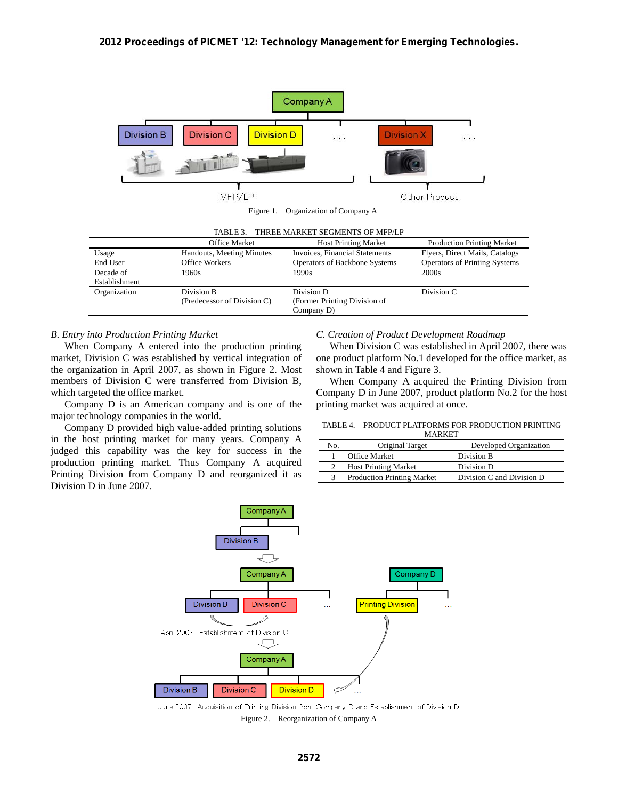

Company D)

### *B. Entry into Production Printing Market*

When Company A entered into the production printing market, Division C was established by vertical integration of the organization in April 2007, as shown in Figure 2. Most members of Division C were transferred from Division B, which targeted the office market.

Company D is an American company and is one of the major technology companies in the world.

Company D provided high value-added printing solutions in the host printing market for many years. Company A judged this capability was the key for success in the production printing market. Thus Company A acquired Printing Division from Company D and reorganized it as Division D in June 2007.

### *C. Creation of Product Development Roadmap*

When Division C was established in April 2007, there was one product platform No.1 developed for the office market, as shown in Table 4 and Figure 3.

When Company A acquired the Printing Division from Company D in June 2007, product platform No.2 for the host printing market was acquired at once.

#### TABLE 4. PRODUCT PLATFORMS FOR PRODUCTION PRINTING MADKET

|     | $\mathbf{v}$                      |                           |
|-----|-----------------------------------|---------------------------|
| No. | Original Target                   | Developed Organization    |
|     | <b>Office Market</b>              | Division B                |
|     | <b>Host Printing Market</b>       | Division D                |
| 3   | <b>Production Printing Market</b> | Division C and Division D |



June 2007 : Acquisition of Printing Division from Company D and Establishment of Division D Figure 2. Reorganization of Company A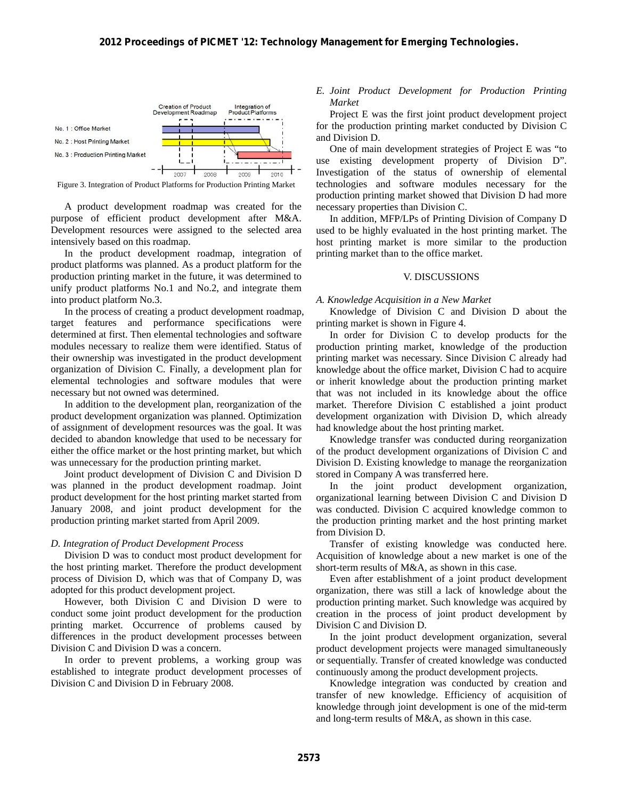

Figure 3. Integration of Product Platforms for Production Printing Market

A product development roadmap was created for the purpose of efficient product development after M&A. Development resources were assigned to the selected area intensively based on this roadmap.

In the product development roadmap, integration of product platforms was planned. As a product platform for the production printing market in the future, it was determined to unify product platforms No.1 and No.2, and integrate them into product platform No.3.

In the process of creating a product development roadmap, target features and performance specifications were determined at first. Then elemental technologies and software modules necessary to realize them were identified. Status of their ownership was investigated in the product development organization of Division C. Finally, a development plan for elemental technologies and software modules that were necessary but not owned was determined.

In addition to the development plan, reorganization of the product development organization was planned. Optimization of assignment of development resources was the goal. It was decided to abandon knowledge that used to be necessary for either the office market or the host printing market, but which was unnecessary for the production printing market.

Joint product development of Division C and Division D was planned in the product development roadmap. Joint product development for the host printing market started from January 2008, and joint product development for the production printing market started from April 2009.

### *D. Integration of Product Development Process*

Division D was to conduct most product development for the host printing market. Therefore the product development process of Division D, which was that of Company D, was adopted for this product development project.

However, both Division C and Division D were to conduct some joint product development for the production printing market. Occurrence of problems caused by differences in the product development processes between Division C and Division D was a concern.

In order to prevent problems, a working group was established to integrate product development processes of Division C and Division D in February 2008.

*E. Joint Product Development for Production Printing Market* 

Project E was the first joint product development project for the production printing market conducted by Division C and Division D.

One of main development strategies of Project E was "to use existing development property of Division D". Investigation of the status of ownership of elemental technologies and software modules necessary for the production printing market showed that Division D had more necessary properties than Division C.

In addition, MFP/LPs of Printing Division of Company D used to be highly evaluated in the host printing market. The host printing market is more similar to the production printing market than to the office market.

### V. DISCUSSIONS

#### *A. Knowledge Acquisition in a New Market*

Knowledge of Division C and Division D about the printing market is shown in Figure 4.

In order for Division C to develop products for the production printing market, knowledge of the production printing market was necessary. Since Division C already had knowledge about the office market, Division C had to acquire or inherit knowledge about the production printing market that was not included in its knowledge about the office market. Therefore Division C established a joint product development organization with Division D, which already had knowledge about the host printing market.

Knowledge transfer was conducted during reorganization of the product development organizations of Division C and Division D. Existing knowledge to manage the reorganization stored in Company A was transferred here.

In the joint product development organization, organizational learning between Division C and Division D was conducted. Division C acquired knowledge common to the production printing market and the host printing market from Division D.

Transfer of existing knowledge was conducted here. Acquisition of knowledge about a new market is one of the short-term results of M&A, as shown in this case.

Even after establishment of a joint product development organization, there was still a lack of knowledge about the production printing market. Such knowledge was acquired by creation in the process of joint product development by Division C and Division D.

In the joint product development organization, several product development projects were managed simultaneously or sequentially. Transfer of created knowledge was conducted continuously among the product development projects.

Knowledge integration was conducted by creation and transfer of new knowledge. Efficiency of acquisition of knowledge through joint development is one of the mid-term and long-term results of M&A, as shown in this case.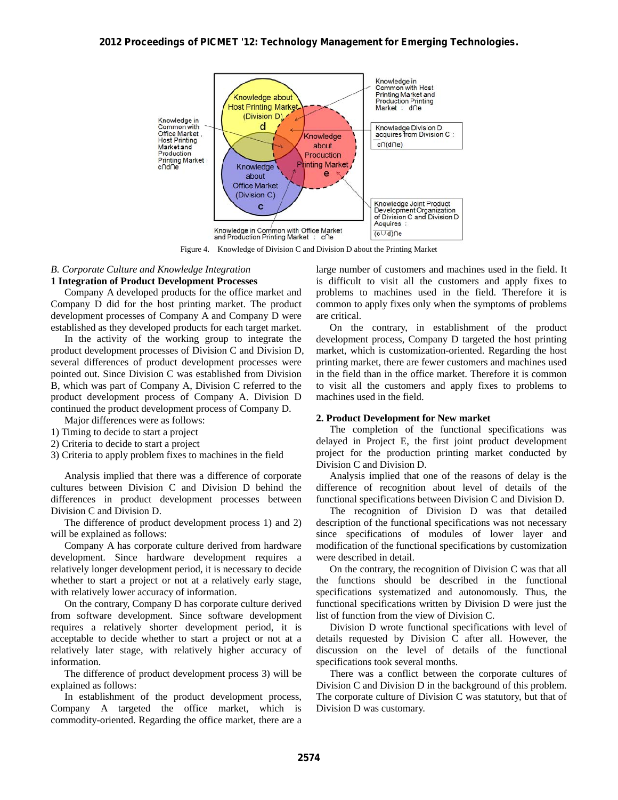

Figure 4. Knowledge of Division C and Division D about the Printing Market

### *B. Corporate Culture and Knowledge Integration*  **1 Integration of Product Development Processes**

Company A developed products for the office market and Company D did for the host printing market. The product development processes of Company A and Company D were established as they developed products for each target market.

In the activity of the working group to integrate the product development processes of Division C and Division D, several differences of product development processes were pointed out. Since Division C was established from Division B, which was part of Company A, Division C referred to the product development process of Company A. Division D continued the product development process of Company D.

Major differences were as follows:

- 1) Timing to decide to start a project
- 2) Criteria to decide to start a project
- 3) Criteria to apply problem fixes to machines in the field

Analysis implied that there was a difference of corporate cultures between Division C and Division D behind the differences in product development processes between Division C and Division D.

The difference of product development process 1) and 2) will be explained as follows:

Company A has corporate culture derived from hardware development. Since hardware development requires a relatively longer development period, it is necessary to decide whether to start a project or not at a relatively early stage, with relatively lower accuracy of information.

On the contrary, Company D has corporate culture derived from software development. Since software development requires a relatively shorter development period, it is acceptable to decide whether to start a project or not at a relatively later stage, with relatively higher accuracy of information.

The difference of product development process 3) will be explained as follows:

In establishment of the product development process, Company A targeted the office market, which is commodity-oriented. Regarding the office market, there are a large number of customers and machines used in the field. It is difficult to visit all the customers and apply fixes to problems to machines used in the field. Therefore it is common to apply fixes only when the symptoms of problems are critical.

On the contrary, in establishment of the product development process, Company D targeted the host printing market, which is customization-oriented. Regarding the host printing market, there are fewer customers and machines used in the field than in the office market. Therefore it is common to visit all the customers and apply fixes to problems to machines used in the field.

### **2. Product Development for New market**

The completion of the functional specifications was delayed in Project E, the first joint product development project for the production printing market conducted by Division C and Division D.

Analysis implied that one of the reasons of delay is the difference of recognition about level of details of the functional specifications between Division C and Division D.

The recognition of Division D was that detailed description of the functional specifications was not necessary since specifications of modules of lower layer and modification of the functional specifications by customization were described in detail.

On the contrary, the recognition of Division C was that all the functions should be described in the functional specifications systematized and autonomously. Thus, the functional specifications written by Division D were just the list of function from the view of Division C.

Division D wrote functional specifications with level of details requested by Division C after all. However, the discussion on the level of details of the functional specifications took several months.

There was a conflict between the corporate cultures of Division C and Division D in the background of this problem. The corporate culture of Division C was statutory, but that of Division D was customary.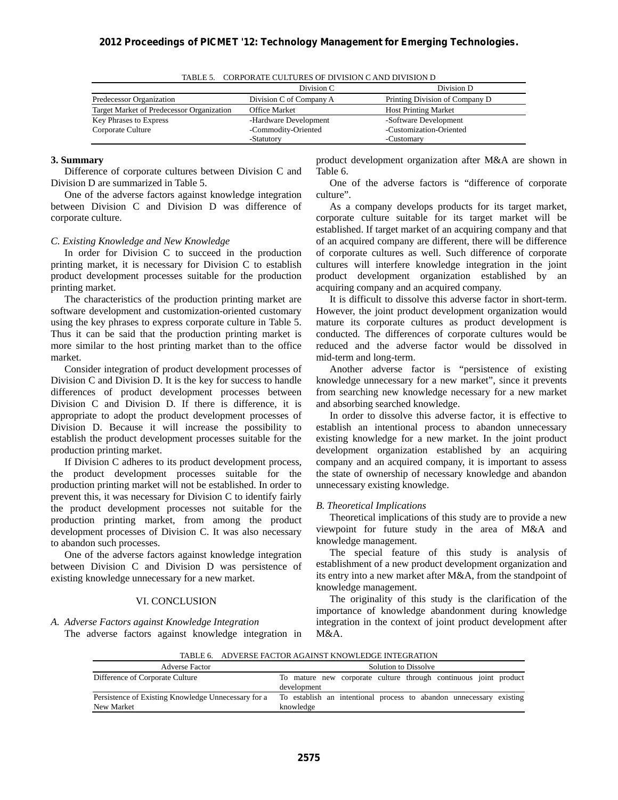| TABLE J. CONFONALE CULTURES OF DIVISION CAND DIVISION D |                         |                                |
|---------------------------------------------------------|-------------------------|--------------------------------|
|                                                         | Division C              | Division D                     |
| Predecessor Organization                                | Division C of Company A | Printing Division of Company D |
| Target Market of Predecessor Organization               | <b>Office Market</b>    | <b>Host Printing Market</b>    |
| Key Phrases to Express                                  | -Hardware Development   | -Software Development          |
| Corporate Culture                                       | -Commodity-Oriented     | -Customization-Oriented        |
|                                                         | -Statutory              | -Customary                     |

| TABLE 5. CORPORATE CULTURES OF DIVISION C AND DIVISION D |  |  |
|----------------------------------------------------------|--|--|
|----------------------------------------------------------|--|--|

### **3. Summary**

Difference of corporate cultures between Division C and Division D are summarized in Table 5.

One of the adverse factors against knowledge integration between Division C and Division D was difference of corporate culture.

### *C. Existing Knowledge and New Knowledge*

In order for Division C to succeed in the production printing market, it is necessary for Division C to establish product development processes suitable for the production printing market.

The characteristics of the production printing market are software development and customization-oriented customary using the key phrases to express corporate culture in Table 5. Thus it can be said that the production printing market is more similar to the host printing market than to the office market.

Consider integration of product development processes of Division C and Division D. It is the key for success to handle differences of product development processes between Division C and Division D. If there is difference, it is appropriate to adopt the product development processes of Division D. Because it will increase the possibility to establish the product development processes suitable for the production printing market.

If Division C adheres to its product development process, the product development processes suitable for the production printing market will not be established. In order to prevent this, it was necessary for Division C to identify fairly the product development processes not suitable for the production printing market, from among the product development processes of Division C. It was also necessary to abandon such processes.

One of the adverse factors against knowledge integration between Division C and Division D was persistence of existing knowledge unnecessary for a new market.

### VI. CONCLUSION

### *A. Adverse Factors against Knowledge Integration*

The adverse factors against knowledge integration in

product development organization after M&A are shown in Table 6.

One of the adverse factors is "difference of corporate culture".

As a company develops products for its target market, corporate culture suitable for its target market will be established. If target market of an acquiring company and that of an acquired company are different, there will be difference of corporate cultures as well. Such difference of corporate cultures will interfere knowledge integration in the joint product development organization established by an acquiring company and an acquired company.

It is difficult to dissolve this adverse factor in short-term. However, the joint product development organization would mature its corporate cultures as product development is conducted. The differences of corporate cultures would be reduced and the adverse factor would be dissolved in mid-term and long-term.

Another adverse factor is "persistence of existing knowledge unnecessary for a new market", since it prevents from searching new knowledge necessary for a new market and absorbing searched knowledge.

In order to dissolve this adverse factor, it is effective to establish an intentional process to abandon unnecessary existing knowledge for a new market. In the joint product development organization established by an acquiring company and an acquired company, it is important to assess the state of ownership of necessary knowledge and abandon unnecessary existing knowledge.

### *B. Theoretical Implications*

Theoretical implications of this study are to provide a new viewpoint for future study in the area of M&A and knowledge management.

The special feature of this study is analysis of establishment of a new product development organization and its entry into a new market after M&A, from the standpoint of knowledge management.

The originality of this study is the clarification of the importance of knowledge abandonment during knowledge integration in the context of joint product development after M&A.

TABLE 6. ADVERSE FACTOR AGAINST KNOWLEDGE INTEGRATION

| <b>Adverse Factor</b>                                             | Solution to Dissolve                                                             |
|-------------------------------------------------------------------|----------------------------------------------------------------------------------|
| Difference of Corporate Culture                                   | To mature new corporate culture through continuous joint product<br>development  |
| Persistence of Existing Knowledge Unnecessary for a<br>New Market | To establish an intentional process to abandon unnecessary existing<br>knowledge |